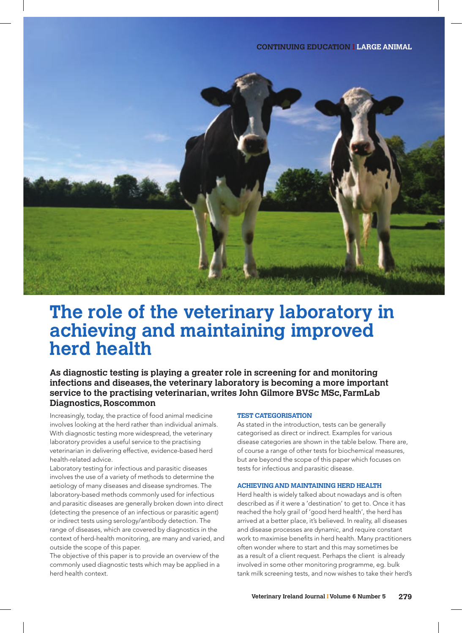

# **The role of the veterinary laboratory in achieving and maintaining improved herd health**

**As diagnostic testing is playing a greater role in screening for and monitoring infections and diseases, the veterinary laboratory is becoming a more important service to the practising veterinarian, writes John Gilmore BVSc MSc, FarmLab Diagnostics, Roscommon**

Increasingly, today, the practice of food animal medicine involves looking at the herd rather than individual animals. With diagnostic testing more widespread, the veterinary laboratory provides a useful service to the practising veterinarian in delivering effective, evidence-based herd health-related advice.

Laboratory testing for infectious and parasitic diseases involves the use of a variety of methods to determine the aetiology of many diseases and disease syndromes. The laboratory-based methods commonly used for infectious and parasitic diseases are generally broken down into direct (detecting the presence of an infectious or parasitic agent) or indirect tests using serology/antibody detection. The range of diseases, which are covered by diagnostics in the context of herd-health monitoring, are many and varied, and outside the scope of this paper.

The objective of this paper is to provide an overview of the commonly used diagnostic tests which may be applied in a herd health context.

# **TEST CATEGORISATION**

As stated in the introduction, tests can be generally categorised as direct or indirect. Examples for various disease categories are shown in the table below. There are, of course a range of other tests for biochemical measures, but are beyond the scope of this paper which focuses on tests for infectious and parasitic disease.

## **ACHIEVING AND MAINTAINING HERD HEALTH**

Herd health is widely talked about nowadays and is often described as if it were a 'destination' to get to. Once it has reached the holy grail of 'good herd health', the herd has arrived at a better place, it's believed. In reality, all diseases and disease processes are dynamic, and require constant work to maximise benefits in herd health. Many practitioners often wonder where to start and this may sometimes be as a result of a client request. Perhaps the client is already involved in some other monitoring programme, eg. bulk tank milk screening tests, and now wishes to take their herd's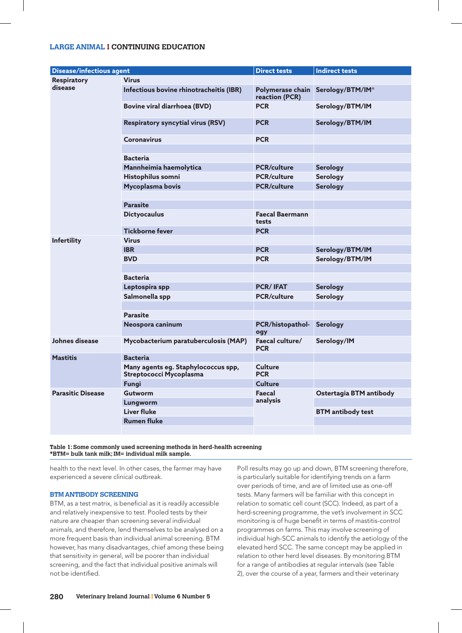# **LARGE ANIMAL I CONTINUING EDUCATION**

|                                 |                                          | <b>Direct tests</b>                | <b>Indirect tests</b>    |
|---------------------------------|------------------------------------------|------------------------------------|--------------------------|
| <b>Disease/infectious agent</b> |                                          |                                    |                          |
| <b>Respiratory</b><br>disease   | <b>Virus</b>                             |                                    |                          |
|                                 | Infectious bovine rhinotracheitis (IBR)  | Polymerase chain<br>reaction (PCR) | Serology/BTM/IM*         |
|                                 | <b>Bovine viral diarrhoea (BVD)</b>      | <b>PCR</b>                         | Serology/BTM/IM          |
|                                 | <b>Respiratory syncytial virus (RSV)</b> | <b>PCR</b>                         | Serology/BTM/IM          |
|                                 | <b>Coronavirus</b>                       | <b>PCR</b>                         |                          |
|                                 |                                          |                                    |                          |
|                                 | <b>Bacteria</b>                          |                                    |                          |
|                                 | Mannheimia haemolytica                   | <b>PCR/culture</b>                 | <b>Serology</b>          |
|                                 | Histophilus somni                        | <b>PCR/culture</b>                 | <b>Serology</b>          |
|                                 | Mycoplasma bovis                         | <b>PCR/culture</b>                 | <b>Serology</b>          |
|                                 |                                          |                                    |                          |
|                                 | <b>Parasite</b>                          |                                    |                          |
|                                 | <b>Dictyocaulus</b>                      | <b>Faecal Baermann</b>             |                          |
|                                 |                                          | tests                              |                          |
|                                 | <b>Tickborne fever</b>                   | <b>PCR</b>                         |                          |
| <b>Infertility</b>              | <b>Virus</b>                             |                                    |                          |
|                                 | <b>IBR</b>                               | <b>PCR</b>                         | Serology/BTM/IM          |
|                                 | <b>BVD</b>                               | <b>PCR</b>                         | Serology/BTM/IM          |
|                                 |                                          |                                    |                          |
|                                 | <b>Bacteria</b>                          |                                    |                          |
|                                 | Leptospira spp                           | <b>PCR/IFAT</b>                    | <b>Serology</b>          |
|                                 | Salmonella spp                           | <b>PCR/culture</b>                 | <b>Serology</b>          |
|                                 |                                          |                                    |                          |
|                                 | <b>Parasite</b>                          |                                    |                          |
|                                 | Neospora caninum                         | PCR/histopathol-<br>ogy            | <b>Serology</b>          |
| Johnes disease                  | Mycobacterium paratuberculosis (MAP)     | Faecal culture/<br><b>PCR</b>      | Serology/IM              |
| <b>Mastitis</b>                 | <b>Bacteria</b>                          |                                    |                          |
|                                 | Many agents eg. Staphylococcus spp,      | Culture                            |                          |
|                                 | Streptococci Mycoplasma                  | <b>PCR</b>                         |                          |
|                                 | Funai                                    | Culture                            |                          |
| <b>Parasitic Disease</b>        | <b>Gutworm</b>                           | Faecal<br>analysis                 | Ostertagia BTM antibody  |
|                                 | Lungworm                                 |                                    |                          |
|                                 | <b>Liver fluke</b>                       |                                    | <b>BTM</b> antibody test |
|                                 | <b>Rumen fluke</b>                       |                                    |                          |
|                                 |                                          |                                    |                          |

**Table 1: Some commonly used screening methods in herd-health screening \*BTM= bulk tank milk; IM= individual milk sample.**

health to the next level. In other cases, the farmer may have experienced a severe clinical outbreak.

# **BTM ANTIBODY SCREENING**

BTM, as a test matrix, is beneficial as it is readily accessible and relatively inexpensive to test. Pooled tests by their nature are cheaper than screening several individual animals, and therefore, lend themselves to be analysed on a more frequent basis than individual animal screening. BTM however, has many disadvantages, chief among these being that sensitivity in general, will be poorer than individual screening, and the fact that individual positive animals will not be identified.

Poll results may go up and down, BTM screening therefore, is particularly suitable for identifying trends on a farm over periods of time, and are of limited use as one-off tests. Many farmers will be familiar with this concept in relation to somatic cell count (SCC). Indeed, as part of a herd-screening programme, the vet's involvement in SCC monitoring is of huge benefit in terms of mastitis-control programmes on farms. This may involve screening of individual high-SCC animals to identify the aetiology of the elevated herd SCC. The same concept may be applied in relation to other herd level diseases. By monitoring BTM for a range of antibodies at regular intervals (see Table 2), over the course of a year, farmers and their veterinary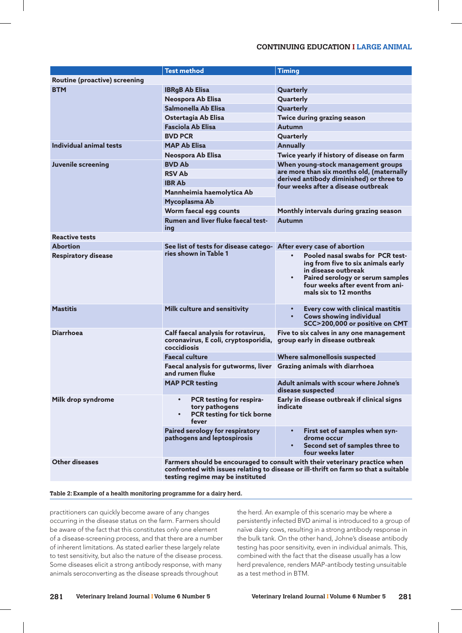# **CONTINUING EDUCATION I LARGE ANIMAL**

|                                      | <b>Test method</b>                                                                                                                                                                                     | <b>Timing</b>                                                                                                                                                                                                            |  |  |  |
|--------------------------------------|--------------------------------------------------------------------------------------------------------------------------------------------------------------------------------------------------------|--------------------------------------------------------------------------------------------------------------------------------------------------------------------------------------------------------------------------|--|--|--|
| <b>Routine (proactive) screening</b> |                                                                                                                                                                                                        |                                                                                                                                                                                                                          |  |  |  |
| <b>BTM</b>                           | <b>IBRgB Ab Elisa</b>                                                                                                                                                                                  | Quarterly                                                                                                                                                                                                                |  |  |  |
|                                      | Neospora Ab Elisa                                                                                                                                                                                      | Quarterly                                                                                                                                                                                                                |  |  |  |
|                                      | Salmonella Ab Elisa                                                                                                                                                                                    | Quarterly                                                                                                                                                                                                                |  |  |  |
|                                      | Ostertagia Ab Elisa                                                                                                                                                                                    | Twice during grazing season                                                                                                                                                                                              |  |  |  |
|                                      | <b>Fasciola Ab Elisa</b>                                                                                                                                                                               | Autumn                                                                                                                                                                                                                   |  |  |  |
|                                      | <b>BVD PCR</b>                                                                                                                                                                                         | Quarterly                                                                                                                                                                                                                |  |  |  |
| Individual animal tests              | <b>MAP Ab Elisa</b>                                                                                                                                                                                    | <b>Annually</b>                                                                                                                                                                                                          |  |  |  |
|                                      | Neospora Ab Elisa                                                                                                                                                                                      | Twice yearly if history of disease on farm                                                                                                                                                                               |  |  |  |
| <b>Juvenile screening</b>            | <b>BVD Ab</b>                                                                                                                                                                                          | When young-stock management groups<br>are more than six months old, (maternally<br>derived antibody diminished) or three to<br>four weeks after a disease outbreak                                                       |  |  |  |
|                                      | <b>RSV Ab</b>                                                                                                                                                                                          |                                                                                                                                                                                                                          |  |  |  |
|                                      | <b>IBR Ab</b>                                                                                                                                                                                          |                                                                                                                                                                                                                          |  |  |  |
|                                      | Mannheimia haemolytica Ab                                                                                                                                                                              |                                                                                                                                                                                                                          |  |  |  |
|                                      | Mycoplasma Ab                                                                                                                                                                                          |                                                                                                                                                                                                                          |  |  |  |
|                                      | Worm faecal egg counts                                                                                                                                                                                 | Monthly intervals during grazing season                                                                                                                                                                                  |  |  |  |
|                                      | <b>Rumen and liver fluke faecal test-</b><br>ing                                                                                                                                                       | Autumn                                                                                                                                                                                                                   |  |  |  |
| <b>Reactive tests</b>                |                                                                                                                                                                                                        |                                                                                                                                                                                                                          |  |  |  |
| <b>Abortion</b>                      | See list of tests for disease catego- After every case of abortion                                                                                                                                     |                                                                                                                                                                                                                          |  |  |  |
| <b>Respiratory disease</b>           | ries shown in Table 1                                                                                                                                                                                  | Pooled nasal swabs for PCR test-<br>$\bullet$<br>ing from five to six animals early<br>in disease outbreak<br>Paired serology or serum samples<br>$\bullet$<br>four weeks after event from ani-<br>mals six to 12 months |  |  |  |
| <b>Mastitis</b>                      | Milk culture and sensitivity                                                                                                                                                                           | Every cow with clinical mastitis<br><b>Cows showing individual</b><br>$\bullet$<br>SCC>200,000 or positive on CMT                                                                                                        |  |  |  |
| <b>Diarrhoea</b>                     | Calf faecal analysis for rotavirus,<br>coronavirus, E coli, cryptosporidia,<br>coccidiosis                                                                                                             | Five to six calves in any one management<br>group early in disease outbreak                                                                                                                                              |  |  |  |
|                                      | <b>Faecal culture</b>                                                                                                                                                                                  | Where salmonellosis suspected                                                                                                                                                                                            |  |  |  |
|                                      | Faecal analysis for gutworms, liver Grazing animals with diarrhoea<br>and rumen fluke                                                                                                                  |                                                                                                                                                                                                                          |  |  |  |
|                                      | <b>MAP PCR testing</b>                                                                                                                                                                                 | Adult animals with scour where Johne's<br>disease suspected                                                                                                                                                              |  |  |  |
| Milk drop syndrome                   | PCR testing for respira-<br>$\bullet$<br>tory pathogens<br>PCR testing for tick borne<br>$\bullet$<br>fever                                                                                            | Early in disease outbreak if clinical signs<br>indicate                                                                                                                                                                  |  |  |  |
|                                      | Paired serology for respiratory<br>pathogens and leptospirosis                                                                                                                                         | First set of samples when syn-<br>$\bullet$<br>drome occur<br>Second set of samples three to<br>four weeks later                                                                                                         |  |  |  |
| <b>Other diseases</b>                | Farmers should be encouraged to consult with their veterinary practice when<br>confronted with issues relating to disease or ill-thrift on farm so that a suitable<br>testing regime may be instituted |                                                                                                                                                                                                                          |  |  |  |

#### **Table 2: Example of a health monitoring programme for a dairy herd.**

practitioners can quickly become aware of any changes occurring in the disease status on the farm. Farmers should be aware of the fact that this constitutes only one element of a disease-screening process, and that there are a number of inherent limitations. As stated earlier these largely relate to test sensitivity, but also the nature of the disease process. Some diseases elicit a strong antibody response, with many animals seroconverting as the disease spreads throughout

the herd. An example of this scenario may be where a persistently infected BVD animal is introduced to a group of naïve dairy cows, resulting in a strong antibody response in the bulk tank. On the other hand, Johne's disease antibody testing has poor sensitivity, even in individual animals. This, combined with the fact that the disease usually has a low herd prevalence, renders MAP-antibody testing unsuitable as a test method in BTM.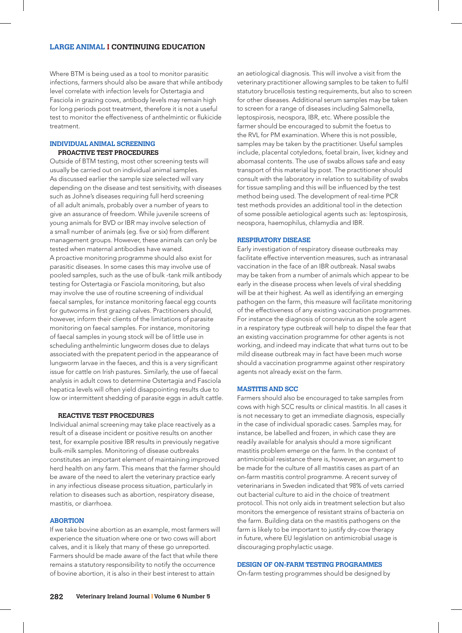Where BTM is being used as a tool to monitor parasitic infections, farmers should also be aware that while antibody level correlate with infection levels for Ostertagia and Fasciola in grazing cows, antibody levels may remain high for long periods post treatment, therefore it is not a useful test to monitor the effectiveness of anthelmintic or flukicide treatment.

## **INDIVIDUAL ANIMAL SCREENING PROACTIVE TEST PROCEDURES**

Outside of BTM testing, most other screening tests will usually be carried out on individual animal samples. As discussed earlier the sample size selected will vary depending on the disease and test sensitivity, with diseases such as Johne's diseases requiring full herd screening of all adult animals, probably over a number of years to give an assurance of freedom. While juvenile screens of young animals for BVD or IBR may involve selection of a small number of animals (eg. five or six) from different management groups. However, these animals can only be tested when maternal antibodies have waned. A proactive monitoring programme should also exist for parasitic diseases. In some cases this may involve use of pooled samples, such as the use of bulk -tank milk antibody testing for Ostertagia or Fasciola monitoring, but also may involve the use of routine screening of individual faecal samples, for instance monitoring faecal egg counts for gutworms in first grazing calves. Practitioners should, however, inform their clients of the limitations of parasite monitoring on faecal samples. For instance, monitoring of faecal samples in young stock will be of little use in scheduling anthelmintic lungworm doses due to delays associated with the prepatent period in the appearance of lungworm larvae in the faeces, and this is a very significant issue for cattle on Irish pastures. Similarly, the use of faecal analysis in adult cows to determine Ostertagia and Fasciola hepatica levels will often yield disappointing results due to low or intermittent shedding of parasite eggs in adult cattle.

#### **REACTIVE TEST PROCEDURES**

Individual animal screening may take place reactively as a result of a disease incident or positive results on another test, for example positive IBR results in previously negative bulk-milk samples. Monitoring of disease outbreaks constitutes an important element of maintaining improved herd health on any farm. This means that the farmer should be aware of the need to alert the veterinary practice early in any infectious disease process situation, particularly in relation to diseases such as abortion, respiratory disease, mastitis, or diarrhoea.

#### **ABORTION**

If we take bovine abortion as an example, most farmers will experience the situation where one or two cows will abort calves, and it is likely that many of these go unreported. Farmers should be made aware of the fact that while there remains a statutory responsibility to notify the occurrence of bovine abortion, it is also in their best interest to attain

an aetiological diagnosis. This will involve a visit from the veterinary practitioner allowing samples to be taken to fulfil statutory brucellosis testing requirements, but also to screen for other diseases. Additional serum samples may be taken to screen for a range of diseases including Salmonella, leptospirosis, neospora, IBR, etc. Where possible the farmer should be encouraged to submit the foetus to the RVL for PM examination. Where this is not possible, samples may be taken by the practitioner. Useful samples include, placental cotyledons, foetal brain, liver, kidney and abomasal contents. The use of swabs allows safe and easy transport of this material by post. The practitioner should consult with the laboratory in relation to suitability of swabs for tissue sampling and this will be influenced by the test method being used. The development of real-time PCR test methods provides an additional tool in the detection of some possible aetiological agents such as: leptospirosis, neospora, haemophilus, chlamydia and IBR.

#### **RESPIRATORY DISEASE**

Early investigation of respiratory disease outbreaks may facilitate effective intervention measures, such as intranasal vaccination in the face of an IBR outbreak. Nasal swabs may be taken from a number of animals which appear to be early in the disease process when levels of viral shedding will be at their highest. As well as identifying an emerging pathogen on the farm, this measure will facilitate monitoring of the effectiveness of any existing vaccination programmes. For instance the diagnosis of coronavirus as the sole agent in a respiratory type outbreak will help to dispel the fear that an existing vaccination programme for other agents is not working, and indeed may indicate that what turns out to be mild disease outbreak may in fact have been much worse should a vaccination programme against other respiratory agents not already exist on the farm.

## **MASTITIS AND SCC**

Farmers should also be encouraged to take samples from cows with high SCC results or clinical mastitis. In all cases it is not necessary to get an immediate diagnosis, especially in the case of individual sporadic cases. Samples may, for instance, be labelled and frozen, in which case they are readily available for analysis should a more significant mastitis problem emerge on the farm. In the context of antimicrobial resistance there is, however, an argument to be made for the culture of all mastitis cases as part of an on-farm mastitis control programme. A recent survey of veterinarians in Sweden indicated that 98% of vets carried out bacterial culture to aid in the choice of treatment protocol. This not only aids in treatment selection but also monitors the emergence of resistant strains of bacteria on the farm. Building data on the mastitis pathogens on the farm is likely to be important to justify dry-cow therapy in future, where EU legislation on antimicrobial usage is discouraging prophylactic usage.

# **DESIGN OF ON-FARM TESTING PROGRAMMES**

On-farm testing programmes should be designed by